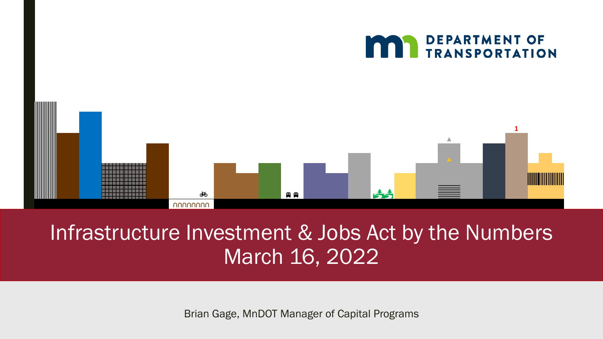

#### Infrastructure Investment & Jobs Act by the Numbers March 16, 2022

Brian Gage, MnDOT Manager of Capital Programs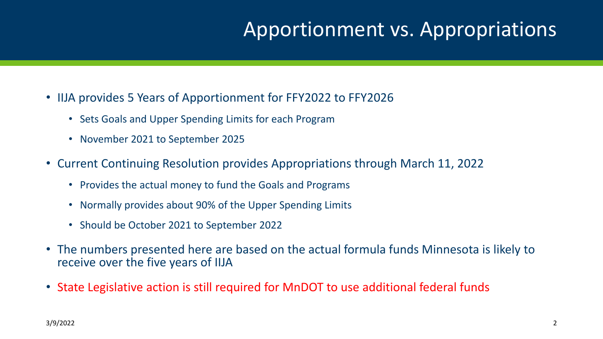#### Apportionment vs. Appropriations

- IIJA provides 5 Years of Apportionment for FFY2022 to FFY2026
	- Sets Goals and Upper Spending Limits for each Program
	- November 2021 to September 2025
- Current Continuing Resolution provides Appropriations through March 11, 2022
	- Provides the actual money to fund the Goals and Programs
	- Normally provides about 90% of the Upper Spending Limits
	- Should be October 2021 to September 2022
- The numbers presented here are based on the actual formula funds Minnesota is likely to receive over the five years of IIJA
- State Legislative action is still required for MnDOT to use additional federal funds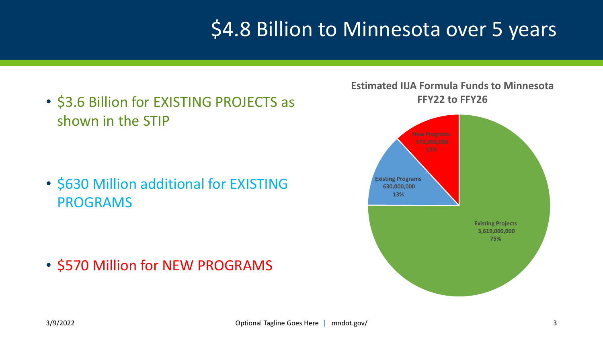# \$4.8 Billion to Minnesota over 5 years

• \$3.6 Billion for EXISTING PROJECTS as shown in the STIP

• \$630 Million additional for EXISTING PROGRAMS

• \$570 Million for NEW PROGRAMS

**Estimated IIJA Formula Funds to Minnesota FFY22 to FFY26**

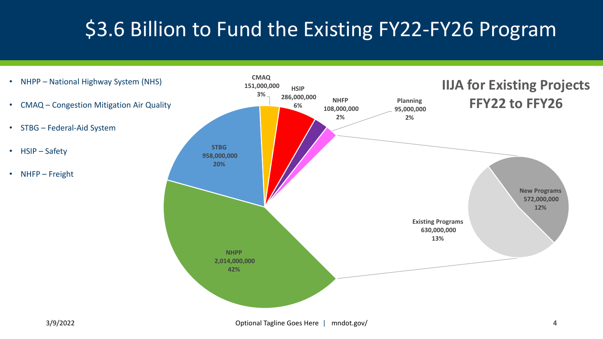# \$3.6 Billion to Fund the Existing FY22-FY26 Program

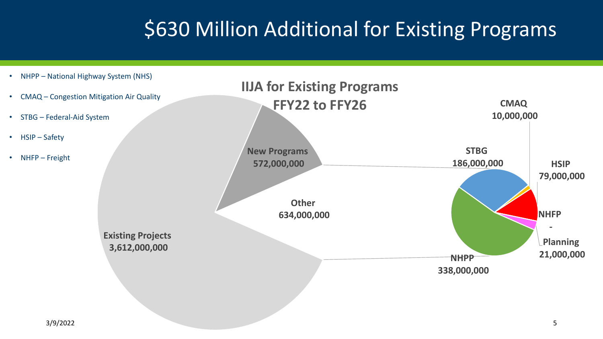# \$630 Million Additional for Existing Programs

**NHPP 338,000,000 STBG 186,000,000 CMAQ 10,000,000 HSIP 79,000,000 NHFP - Planning 21,000,000 Existing Projects 3,612,000,000 New Programs 572,000,000 Other 634,000,000 IIJA for Existing Programs FFY22 to FFY26** • NHPP – National Highway System (NHS) • CMAQ – Congestion Mitigation Air Quality • STBG – Federal-Aid System • HSIP – Safety • NHFP – Freight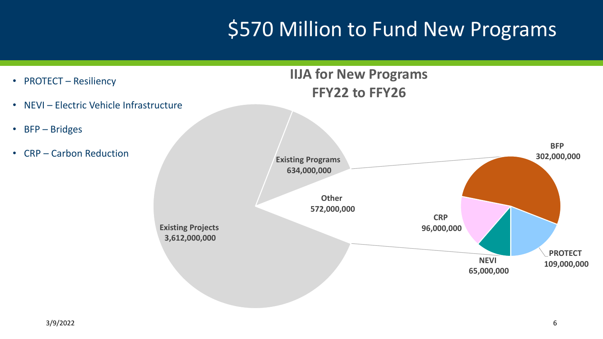# **\$570 Million to Fund New Programs**

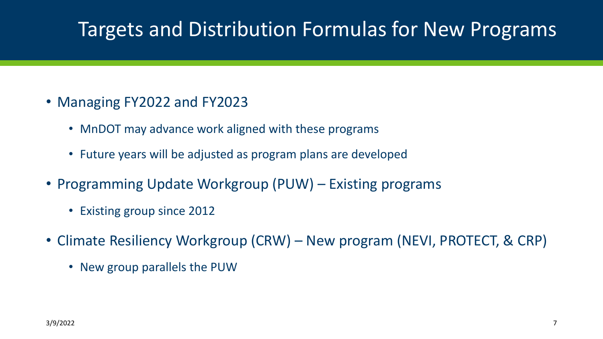### Targets and Distribution Formulas for New Programs

- Managing FY2022 and FY2023
	- MnDOT may advance work aligned with these programs
	- Future years will be adjusted as program plans are developed
- Programming Update Workgroup (PUW) Existing programs
	- Existing group since 2012
- Climate Resiliency Workgroup (CRW) New program (NEVI, PROTECT, & CRP)
	- New group parallels the PUW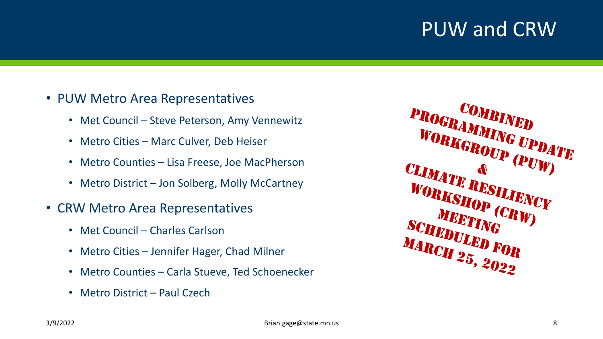### PUW and CRW

- PUW Metro Area Representatives
	- Met Council Steve Peterson, Amy Vennewitz
	- Metro Cities Marc Culver, Deb Heiser
	- Metro Counties Lisa Freese, Joe MacPherson
	- Metro District Jon Solberg, Molly McCartney
- CRW Metro Area Representatives
	- Met Council Charles Carlson
	- Metro Cities Jennifer Hager, Chad Milner
	- Metro Counties Carla Stueve, Ted Schoenecker
	- Metro District Paul Czech

COMBINED<br>*EAMME* PROGRAMMING UPDATE WORKGROUP (PUW) CLIMATE RESILIENCY WORKSHOP (CRW) MEETING SCHEDULED FOR MARCH 25 **MARCH 25, 2022**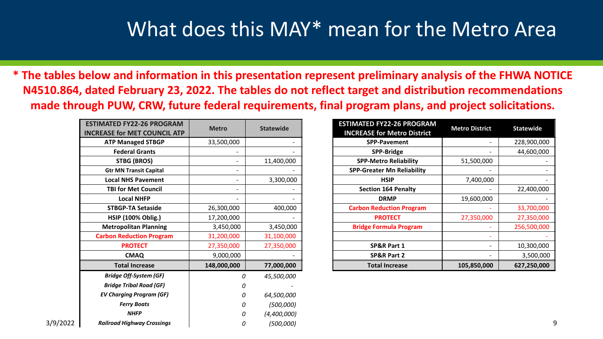#### What does this MAY\* mean for the Metro Area

**\* The tables below and information in this presentation represent preliminary analysis of the FHWA NOTICE N4510.864, dated February 23, 2022. The tables do not reflect target and distribution recommendations made through PUW, CRW, future federal requirements, final program plans, and project solicitations.** 

|          | <b>ESTIMATED FY22-26 PROGRAM</b><br><b>INCREASE for MET COUNCIL ATP</b> | <b>Metro</b>             | <b>Statewide</b> | <b>ESTIMATED FY22-26 PROGRAM</b><br><b>INCREASE for Metro District</b> | <b>Metro District</b> | <b>Statewide</b> |
|----------|-------------------------------------------------------------------------|--------------------------|------------------|------------------------------------------------------------------------|-----------------------|------------------|
|          | <b>ATP Managed STBGP</b>                                                | 33,500,000               |                  | SPP-Pavement                                                           |                       | 228,900,000      |
|          | <b>Federal Grants</b>                                                   |                          |                  | SPP-Bridge                                                             |                       | 44,600,000       |
|          | STBG (BROS)                                                             | $\overline{\phantom{0}}$ | 11,400,000       | <b>SPP-Metro Reliability</b>                                           | 51,500,000            |                  |
|          | <b>Gtr MN Transit Capital</b>                                           | $\overline{\phantom{0}}$ |                  | <b>SPP-Greater Mn Reliability</b>                                      |                       |                  |
|          | <b>Local NHS Pavement</b>                                               |                          | 3,300,000        | <b>HSIP</b>                                                            | 7,400,000             |                  |
|          | <b>TBI for Met Council</b>                                              |                          |                  | <b>Section 164 Penalty</b>                                             |                       | 22,400,000       |
|          | <b>Local NHFP</b>                                                       |                          |                  | <b>DRMP</b>                                                            | 19,600,000            |                  |
|          | <b>STBGP-TA Setaside</b>                                                | 26,300,000               | 400,000          | <b>Carbon Reduction Program</b>                                        |                       | 33,700,000       |
|          | <b>HSIP (100% Oblig.)</b>                                               | 17,200,000               |                  | <b>PROTECT</b>                                                         | 27,350,000            | 27,350,000       |
|          | <b>Metropolitan Planning</b>                                            | 3,450,000                | 3,450,000        | <b>Bridge Formula Program</b>                                          |                       | 256,500,000      |
|          | <b>Carbon Reduction Program</b>                                         | 31,200,000               | 31,100,000       |                                                                        |                       |                  |
|          | <b>PROTECT</b>                                                          | 27,350,000               | 27,350,000       | SP&R Part 1                                                            |                       | 10,300,000       |
|          | <b>CMAQ</b>                                                             | 9,000,000                |                  | <b>SP&amp;R Part 2</b>                                                 |                       | 3,500,000        |
|          | <b>Total Increase</b>                                                   | 148,000,000              | 77,000,000       | <b>Total Increase</b>                                                  | 105,850,000           | 627,250,000      |
|          | <b>Bridge Off-System (GF)</b>                                           |                          | 45,500,000       |                                                                        |                       |                  |
|          | <b>Bridge Tribal Road (GF)</b>                                          |                          |                  |                                                                        |                       |                  |
|          | <b>EV Charging Program (GF)</b>                                         |                          | 64,500,000       |                                                                        |                       |                  |
|          | <b>Ferry Boats</b>                                                      |                          | (500,000)        |                                                                        |                       |                  |
|          | <b>NHFP</b>                                                             |                          | (4,400,000)      |                                                                        |                       |                  |
| 3/9/2022 | <b>Railroad Highway Crossings</b>                                       |                          | (500,000)        |                                                                        |                       |                  |

| <b>ESTIMATED FY22-26 PROGRAM</b><br><b>INCREASE for Metro District</b> | <b>Metro District</b> | <b>Statewide</b> |
|------------------------------------------------------------------------|-----------------------|------------------|
| <b>SPP-Pavement</b>                                                    |                       | 228,900,000      |
| <b>SPP-Bridge</b>                                                      |                       | 44,600,000       |
| <b>SPP-Metro Reliability</b>                                           | 51,500,000            |                  |
| <b>SPP-Greater Mn Reliability</b>                                      |                       |                  |
| <b>HSIP</b>                                                            | 7,400,000             |                  |
| <b>Section 164 Penalty</b>                                             |                       | 22,400,000       |
| <b>DRMP</b>                                                            | 19,600,000            |                  |
| <b>Carbon Reduction Program</b>                                        |                       | 33,700,000       |
| <b>PROTECT</b>                                                         | 27,350,000            | 27,350,000       |
| <b>Bridge Formula Program</b>                                          |                       | 256,500,000      |
|                                                                        |                       |                  |
| <b>SP&amp;R Part 1</b>                                                 |                       | 10,300,000       |
| <b>SP&amp;R Part 2</b>                                                 |                       | 3,500,000        |
| <b>Total Increase</b>                                                  | 105,850,000           | 627,250,000      |